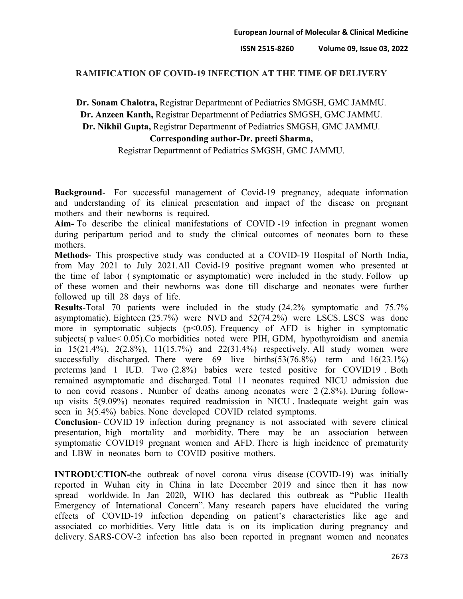## **RAMIFICATION OF COVID-19 INFECTION AT THE TIME OF DELIVERY**

**Dr. Sonam Chalotra,** Registrar Departmennt of Pediatrics SMGSH, GMC JAMMU. **Dr. Anzeen Kanth,** Registrar Departmennt of Pediatrics SMGSH, GMC JAMMU. **Dr. Nikhil Gupta,** Registrar Departmennt of Pediatrics SMGSH, GMC JAMMU.

## **Corresponding author-Dr. preeti Sharma,**

Registrar Departmennt of Pediatrics SMGSH, GMC JAMMU.

**Background**- For successful management of Covid-19 pregnancy, adequate information and understanding of its clinical presentation and impact of the disease on pregnant mothers and their newborns is required.

**Aim-** To describe the clinical manifestations of COVID -19 infection in pregnant women during peripartum period and to study the clinical outcomes of neonates born to these mothers.

**Methods-** This prospective study was conducted at a COVID-19 Hospital of North India, from May 2021 to July 2021.All Covid-19 positive pregnant women who presented at the time of labor ( symptomatic or asymptomatic) were included in the study. Follow up of these women and their newborns was done till discharge and neonates were further followed up till 28 days of life.

**Results**-Total 70 patients were included in the study (24.2% symptomatic and 75.7% asymptomatic). Eighteen (25.7%) were NVD and 52(74.2%) were LSCS. LSCS was done more in symptomatic subjects ( $p<0.05$ ). Frequency of AFD is higher in symptomatic subjects( p value< 0.05).Co morbidities noted were PIH, GDM, hypothyroidism and anemia in  $15(21.4\%)$ ,  $2(2.8\%)$ ,  $11(15.7\%)$  and  $22(31.4\%)$  respectively. All study women were successfully discharged. There were  $69$  live births $(53(76.8%)$  term and  $16(23.1%)$ preterms )and 1 IUD. Two (2.8%) babies were tested positive for COVID19 . Both remained asymptomatic and discharged. Total 11 neonates required NICU admission due to non covid reasons . Number of deaths among neonates were 2 (2.8%). During followup visits 5(9.09%) neonates required readmission in NICU . Inadequate weight gain was seen in 3(5.4%) babies. None developed COVID related symptoms.

**Conclusion**- COVID 19 infection during pregnancy is not associated with severe clinical presentation, high mortality and morbidity. There may be an association between symptomatic COVID19 pregnant women and AFD. There is high incidence of prematurity and LBW in neonates born to COVID positive mothers.

**INTRODUCTION-**the outbreak of novel corona virus disease (COVID-19) was initially reported in Wuhan city in China in late December 2019 and since then it has now spread worldwide. In Jan 2020, WHO has declared this outbreak as "Public Health Emergency of International Concern". Many research papers have elucidated the varing effects of COVID-19 infection depending on patient's characteristics like age and associated co morbidities. Very little data is on its implication during pregnancy and delivery. SARS-COV-2 infection has also been reported in pregnant women and neonates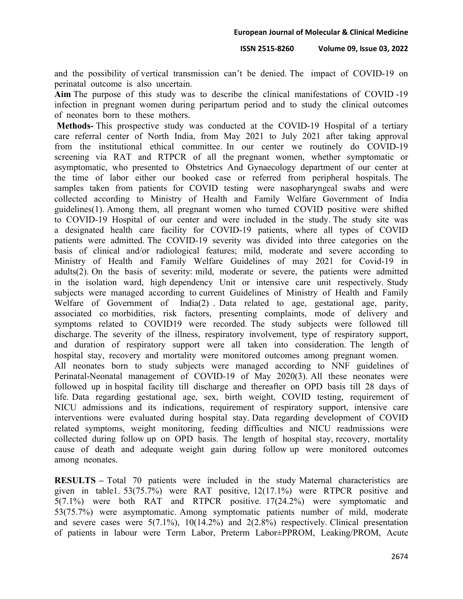**ISSN 2515-8260 Volume 09, Issue 03, 2022**

and the possibility of vertical transmission can't be denied. The impact of COVID-19 on perinatal outcome is also uncertain.

**Aim** The purpose of this study was to describe the clinical manifestations of COVID -19 infection in pregnant women during peripartum period and to study the clinical outcomes of neonates born to these mothers.

**Methods-** This prospective study was conducted at the COVID-19 Hospital of a tertiary care referral center of North India, from May 2021 to July 2021 after taking approval from the institutional ethical committee. In our center we routinely do COVID-19 screening via RAT and RTPCR of all the pregnant women, whether symptomatic or asymptomatic, who presented to Obstetrics And Gynaecology department of our center at the time of labor either our booked case or referred from peripheral hospitals. The samples taken from patients for COVID testing were nasopharyngeal swabs and were collected according to Ministry of Health and Family Welfare Government of India guidelines(1). Among them, all pregnant women who turned COVID positive were shifted to COVID-19 Hospital of our center and were included in the study. The study site was a designated health care facility for COVID-19 patients, where all types of COVID patients were admitted. The COVID-19 severity was divided into three categories on the basis of clinical and/or radiological features; mild, moderate and severe according to Ministry of Health and Family Welfare Guidelines of may 2021 for Covid-19 in adults(2). On the basis of severity: mild, moderate or severe, the patients were admitted in the isolation ward, high dependency Unit or intensive care unit respectively. Study subjects were managed according to current Guidelines of Ministry of Health and Family Welfare of Government of India(2) . Data related to age, gestational age, parity, associated co morbidities, risk factors, presenting complaints, mode of delivery and symptoms related to COVID19 were recorded. The study subjects were followed till discharge. The severity of the illness, respiratory involvement, type of respiratory support, and duration of respiratory support were all taken into consideration. The length of hospital stay, recovery and mortality were monitored outcomes among pregnant women. All neonates born to study subjects were managed according to NNF guidelines of Perinatal-Neonatal management of COVID-19 of May 2020(3). All these neonates were followed up in hospital facility till discharge and thereafter on OPD basis till 28 days of life. Data regarding gestational age, sex, birth weight, COVID testing, requirement of NICU admissions and its indications, requirement of respiratory support, intensive care interventions were evaluated during hospital stay. Data regarding development of COVID related symptoms, weight monitoring, feeding difficulties and NICU readmissions were collected during follow up on OPD basis. The length of hospital stay, recovery, mortality cause of death and adequate weight gain during follow up were monitored outcomes among neonates.

**RESULTS –** Total 70 patients were included in the study Maternal characteristics are given in table1. 53(75.7%) were RAT positive, 12(17.1%) were RTPCR positive and 5(7.1%) were both RAT and RTPCR positive. 17(24.2%) were symptomatic and 53(75.7%) were asymptomatic. Among symptomatic patients number of mild, moderate and severe cases were  $5(7.1\%)$ ,  $10(14.2\%)$  and  $2(2.8\%)$  respectively. Clinical presentation of patients in labour were Term Labor, Preterm Labor±PPROM, Leaking/PROM, Acute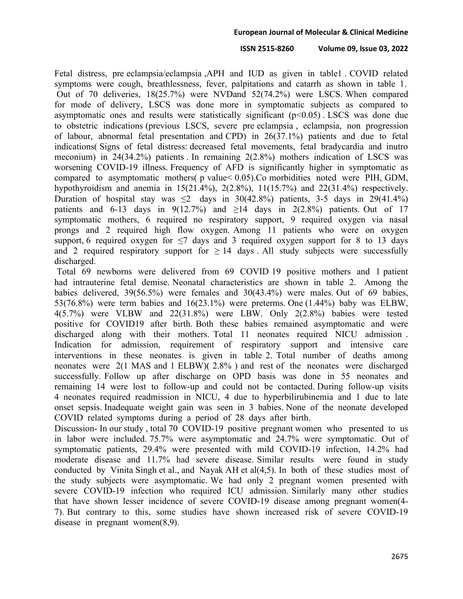## **ISSN 2515-8260 Volume 09, Issue 03, 2022**

Fetal distress, pre eclampsia/eclampsia ,APH and IUD as given in table1 . COVID related symptoms were cough, breathlessness, fever, palpitations and catarrh as shown in table 1. Out of 70 deliveries, 18(25.7%) were NVDand 52(74.2%) were LSCS. When compared for mode of delivery, LSCS was done more in symptomatic subjects as compared to asymptomatic ones and results were statistically significant  $(p<0.05)$ . LSCS was done due to obstetric indications (previous LSCS, severe pre eclampsia , eclampsia, non progression of labour, abnormal fetal presentation and CPD) in 26(37.1%) patients and due to fetal indications( Signs of fetal distress: decreased fetal movements, fetal bradycardia and inutro meconium) in 24(34.2%) patients . In remaining 2(2.8%) mothers indication of LSCS was worsening COVID-19 illness. Frequency of AFD is significantly higher in symptomatic as compared to asymptomatic mothers( p value< 0.05).Co morbidities noted were PIH, GDM, hypothyroidism and anemia in 15(21.4%), 2(2.8%), 11(15.7%) and 22(31.4%) respectively. Duration of hospital stay was  $\leq$  days in 30(42.8%) patients, 3-5 days in 29(41.4%) patients and 6-13 days in 9(12.7%) and  $\geq$ 14 days in 2(2.8%) patients. Out of 17 symptomatic mothers, 6 required no respiratory support, 9 required oxygen via nasal prongs and 2 required high flow oxygen. Among 11 patients who were on oxygen support, 6 required oxygen for  $\leq$ 7 days and 3 required oxygen support for 8 to 13 days and 2 required respiratory support for  $\geq 14$  days . All study subjects were successfully discharged.

Total 69 newborns were delivered from 69 COVID 19 positive mothers and 1 patient had intrauterine fetal demise. Neonatal characteristics are shown in table 2. Among the babies delivered, 39(56.5%) were females and 30(43.4%) were males. Out of 69 babies, 53(76.8%) were term babies and 16(23.1%) were preterms. One (1.44%) baby was ELBW, 4(5.7%) were VLBW and 22(31.8%) were LBW. Only 2(2.8%) babies were tested positive for COVID19 after birth. Both these babies remained asymptomatic and were discharged along with their mothers. Total 11 neonates required NICU admission . Indication for admission, requirement of respiratory support and intensive care interventions in these neonates is given in table 2. Total number of deaths among neonates were 2(1 MAS and 1 ELBW)( 2.8% ) and rest of the neonates were discharged successfully. Follow up after discharge on OPD basis was done in 55 neonates and remaining 14 were lost to follow-up and could not be contacted. During follow-up visits 4 neonates required readmission in NICU, 4 due to hyperbilirubinemia and 1 due to late onset sepsis. Inadequate weight gain was seen in 3 babies. None of the neonate developed COVID related symptoms during a period of 28 days after birth.

Discussion- In our study, total 70 COVID-19 positive pregnant women who presented to us in labor were included. 75.7% were asymptomatic and 24.7% were symptomatic. Out of symptomatic patients, 29.4% were presented with mild COVID-19 infection, 14.2% had moderate disease and 11.7% had severe disease. Similar results were found in study conducted by Vinita Singh et al., and Nayak AH et al(4,5). In both of these studies most of the study subjects were asymptomatic. We had only 2 pregnant women presented with severe COVID-19 infection who required ICU admission. Similarly many other studies that have shown lesser incidence of severe COVID-19 disease among pregnant women(4- 7). But contrary to this, some studies have shown increased risk of severe COVID-19 disease in pregnant women(8,9).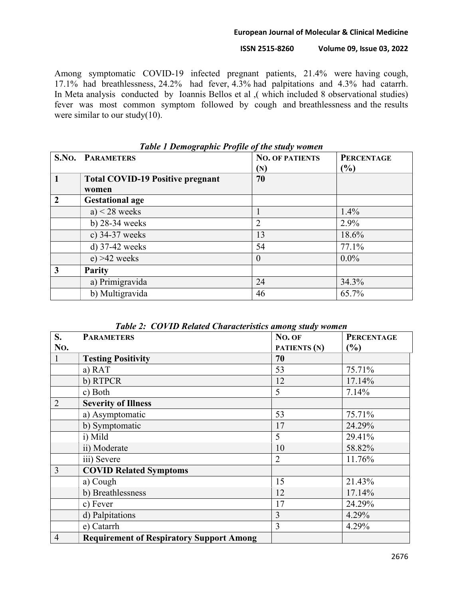## **ISSN 2515-8260 Volume 09, Issue 03, 2022**

Among symptomatic COVID-19 infected pregnant patients, 21.4% were having cough, 17.1% had breathlessness, 24.2% had fever, 4.3% had palpitations and 4.3% had catarrh. In Meta analysis conducted by Ioannis Bellos et al ,( which included 8 observational studies) fever was most common symptom followed by cough and breathlessness and the results were similar to our study(10).

| Tubic 1 Demographic 1 rojuc of the state women |                                         |                        |                   |  |
|------------------------------------------------|-----------------------------------------|------------------------|-------------------|--|
|                                                | <b>S.NO. PARAMETERS</b>                 | <b>NO. OF PATIENTS</b> | <b>PERCENTAGE</b> |  |
|                                                |                                         | $(\mathbf{N})$         | (%)               |  |
| $\mathbf{1}$                                   | <b>Total COVID-19 Positive pregnant</b> | 70                     |                   |  |
|                                                | women                                   |                        |                   |  |
| $\overline{2}$                                 | <b>Gestational age</b>                  |                        |                   |  |
|                                                | a) $<$ 28 weeks                         |                        | 1.4%              |  |
|                                                | b) 28-34 weeks                          | 2                      | 2.9%              |  |
|                                                | c) 34-37 weeks                          | 13                     | 18.6%             |  |
|                                                | $d)$ 37-42 weeks                        | 54                     | 77.1%             |  |
|                                                | $e) > 42$ weeks                         | $\Omega$               | $0.0\%$           |  |
| 3                                              | <b>Parity</b>                           |                        |                   |  |
|                                                | a) Primigravida                         | 24                     | 34.3%             |  |
|                                                | b) Multigravida                         | 46                     | 65.7%             |  |

*Table 1 Demographic Profile of the study women*

|  | Table 2: COVID Related Characteristics among study women |  |  |
|--|----------------------------------------------------------|--|--|
|  |                                                          |  |  |

| S.             | <b>PARAMETERS</b>                               | No. OF         | <b>PERCENTAGE</b> |
|----------------|-------------------------------------------------|----------------|-------------------|
| No.            |                                                 | PATIENTS (N)   | (%)               |
| 1              | <b>Testing Positivity</b>                       | 70             |                   |
|                | a) RAT                                          | 53             | 75.71%            |
|                | b) RTPCR                                        | 12             | 17.14%            |
|                | c) Both                                         | 5              | 7.14%             |
| $\overline{2}$ | <b>Severity of Illness</b>                      |                |                   |
|                | a) Asymptomatic                                 | 53             | 75.71%            |
|                | b) Symptomatic                                  | 17             | 24.29%            |
|                | i) Mild                                         | 5              | 29.41%            |
|                | ii) Moderate                                    | 10             | 58.82%            |
|                | iii) Severe                                     | $\overline{2}$ | 11.76%            |
| 3              | <b>COVID Related Symptoms</b>                   |                |                   |
|                | a) Cough                                        | 15             | 21.43%            |
|                | b) Breathlessness                               | 12             | 17.14%            |
|                | c) Fever                                        | 17             | 24.29%            |
|                | d) Palpitations                                 | 3              | 4.29%             |
|                | e) Catarrh                                      | 3              | 4.29%             |
| $\overline{4}$ | <b>Requirement of Respiratory Support Among</b> |                |                   |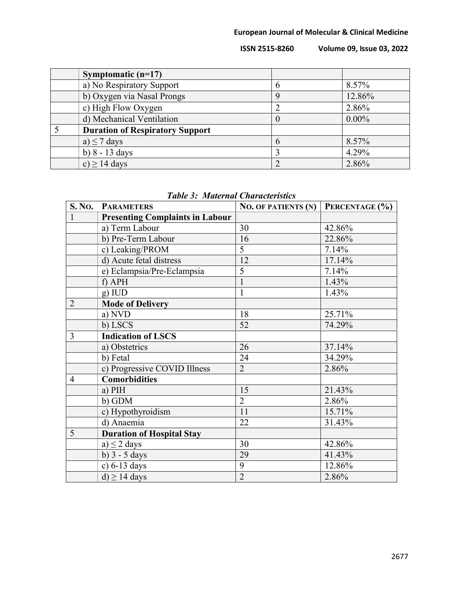**ISSN 2515-8260 Volume 09, Issue 03, 2022**

| Symptomatic $(n=17)$                   |        |          |
|----------------------------------------|--------|----------|
| a) No Respiratory Support              |        | 8.57%    |
| b) Oxygen via Nasal Prongs             | 9      | 12.86%   |
| c) High Flow Oxygen                    |        | 2.86%    |
| d) Mechanical Ventilation              | $\cup$ | $0.00\%$ |
| <b>Duration of Respiratory Support</b> |        |          |
| a) $\leq$ 7 days                       | 6      | 8.57%    |
| b) $8 - 13 \text{ days}$               |        | 4.29%    |
| c) $\geq$ 14 days                      |        | 2.86%    |

|                | S. NO. PARAMETERS                      | NO. OF PATIENTS $(N)$ PERCENTAGE $(\% )$ |        |
|----------------|----------------------------------------|------------------------------------------|--------|
| $\mathbf{1}$   | <b>Presenting Complaints in Labour</b> |                                          |        |
|                | a) Term Labour                         | 30                                       | 42.86% |
|                | b) Pre-Term Labour                     | 16                                       | 22.86% |
|                | c) Leaking/PROM                        | 5                                        | 7.14%  |
|                | d) Acute fetal distress                | 12                                       | 17.14% |
|                | e) Eclampsia/Pre-Eclampsia             | 5                                        | 7.14%  |
|                | f) APH                                 |                                          | 1.43%  |
|                | g) IUD                                 | 1                                        | 1.43%  |
| $\overline{2}$ | <b>Mode of Delivery</b>                |                                          |        |
|                | a) NVD                                 | 18                                       | 25.71% |
|                | b) LSCS                                | 52                                       | 74.29% |
| $\overline{3}$ | <b>Indication of LSCS</b>              |                                          |        |
|                | a) Obstetrics                          | 26                                       | 37.14% |
|                | b) Fetal                               | 24                                       | 34.29% |
|                | c) Progressive COVID Illness           | $\overline{2}$                           | 2.86%  |
| $\overline{4}$ | <b>Comorbidities</b>                   |                                          |        |
|                | $a)$ PIH                               | 15                                       | 21.43% |
|                | b) GDM                                 | $\overline{2}$                           | 2.86%  |
|                | c) Hypothyroidism                      | 11                                       | 15.71% |
|                | d) Anaemia                             | 22                                       | 31.43% |
| 5              | <b>Duration of Hospital Stay</b>       |                                          |        |
|                | a) $\leq$ 2 days                       | 30                                       | 42.86% |
|                | b) $3 - 5$ days                        | 29                                       | 41.43% |
|                | c) $6-13$ days                         | 9                                        | 12.86% |
|                | $d) \ge 14$ days                       | $\overline{2}$                           | 2.86%  |

## *Table 3: Maternal Characteristics*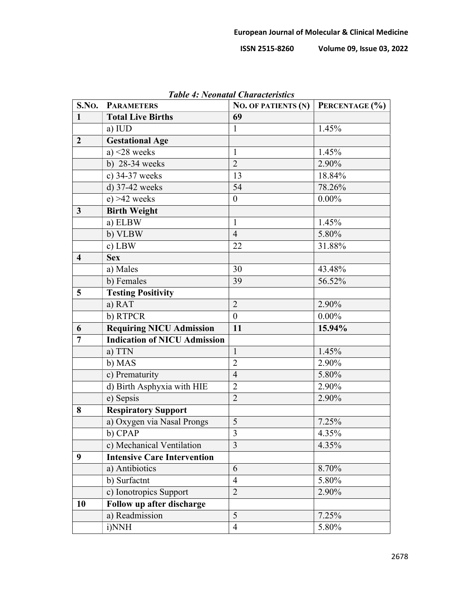**ISSN 2515-8260 Volume 09, Issue 03, 2022**

| S.No.                   | <b>PARAMETERS</b>                   | Tuble 4. Ivebhulut Churucleristics<br><b>NO. OF PATIENTS (N)</b> | PERCENTAGE (%) |
|-------------------------|-------------------------------------|------------------------------------------------------------------|----------------|
| $\mathbf{1}$            | <b>Total Live Births</b>            | 69                                                               |                |
|                         | a) IUD                              | 1                                                                | 1.45%          |
| $\overline{2}$          | <b>Gestational Age</b>              |                                                                  |                |
|                         | a) $\leq$ 28 weeks                  | $\mathbf{1}$                                                     | 1.45%          |
|                         | b) $28-34$ weeks                    | $\overline{2}$                                                   | 2.90%          |
|                         | c) 34-37 weeks                      | 13                                                               | 18.84%         |
|                         | d) 37-42 weeks                      | 54                                                               | 78.26%         |
|                         | $e) > 42$ weeks                     | $\boldsymbol{0}$                                                 | $0.00\%$       |
| $\mathbf{3}$            | <b>Birth Weight</b>                 |                                                                  |                |
|                         | a) ELBW                             | $\mathbf{1}$                                                     | 1.45%          |
|                         | b) VLBW                             | $\overline{4}$                                                   | 5.80%          |
|                         | c) LBW                              | 22                                                               | 31.88%         |
| $\overline{\mathbf{4}}$ | <b>Sex</b>                          |                                                                  |                |
|                         | a) Males                            | 30                                                               | 43.48%         |
|                         | b) Females                          | 39                                                               | 56.52%         |
| 5 <sup>5</sup>          | <b>Testing Positivity</b>           |                                                                  |                |
|                         | a) RAT                              | $\overline{2}$                                                   | 2.90%          |
|                         | b) RTPCR                            | $\overline{0}$                                                   | $0.00\%$       |
| 6                       | <b>Requiring NICU Admission</b>     | 11                                                               | 15.94%         |
| $\overline{7}$          | <b>Indication of NICU Admission</b> |                                                                  |                |
|                         | a) TTN                              | $\mathbf{1}$                                                     | 1.45%          |
|                         | b) MAS                              | $\overline{c}$                                                   | 2.90%          |
|                         | c) Prematurity                      | $\overline{4}$                                                   | 5.80%          |
|                         | d) Birth Asphyxia with HIE          | $\overline{2}$                                                   | 2.90%          |
|                         | e) Sepsis                           | $\overline{2}$                                                   | 2.90%          |
| 8                       | <b>Respiratory Support</b>          |                                                                  |                |
|                         | a) Oxygen via Nasal Prongs          | 5                                                                | 7.25%          |
|                         | b) CPAP                             | 3                                                                | 4.35%          |
|                         | c) Mechanical Ventilation           | 3                                                                | 4.35%          |
| 9                       | <b>Intensive Care Intervention</b>  |                                                                  |                |
|                         | a) Antibiotics                      | 6                                                                | 8.70%          |
|                         | b) Surfactnt                        | $\overline{4}$                                                   | 5.80%          |
|                         | c) Ionotropics Support              | $\overline{2}$                                                   | 2.90%          |
| 10                      | Follow up after discharge           |                                                                  |                |
|                         | a) Readmission                      | 5                                                                | 7.25%          |
|                         | i)NNH                               | $\overline{4}$                                                   | 5.80%          |

*Table 4: Neonatal Characteristics*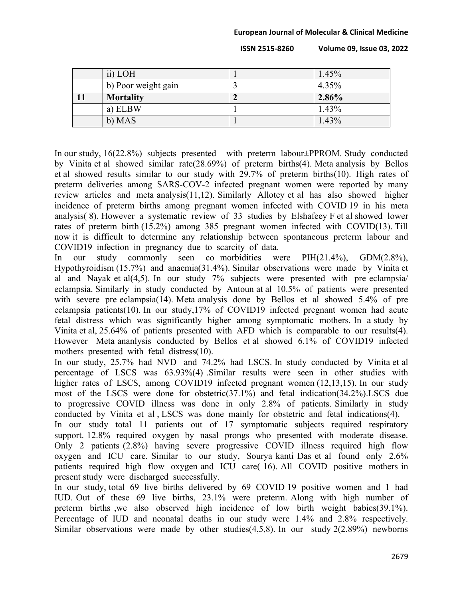**ISSN 2515-8260 Volume 09, Issue 03, 2022**

| ii) LOH             | 1.45%    |
|---------------------|----------|
| b) Poor weight gain | 4.35%    |
| <b>Mortality</b>    | $2.86\%$ |
| a) ELBW             | $1.43\%$ |
| b) MAS              | 1.43%    |

In our study, 16(22.8%) subjects presented with preterm labour±PPROM. Study conducted by Vinita et al showed similar rate(28.69%) of preterm births(4). Meta analysis by Bellos et al showed results similar to our study with 29.7% of preterm births(10). High rates of preterm deliveries among SARS-COV-2 infected pregnant women were reported by many review articles and meta analysis(11,12). Similarly Allotey et al has also showed higher incidence of preterm births among pregnant women infected with COVID 19 in his meta analysis( 8). However a systematic review of 33 studies by Elshafeey F et al showed lower rates of preterm birth (15.2%) among 385 pregnant women infected with COVID(13). Till now it is difficult to determine any relationship between spontaneous preterm labour and COVID19 infection in pregnancy due to scarcity of data.

In our study commonly seen co morbidities were PIH(21.4%), GDM(2.8%), Hypothyroidism (15.7%) and anaemia(31.4%). Similar observations were made by Vinita et al and Nayak et al(4,5). In our study 7% subjects were presented with pre eclampsia/ eclampsia. Similarly in study conducted by Antoun at al 10.5% of patients were presented with severe pre eclampsia(14). Meta analysis done by Bellos et al showed 5.4% of pre eclampsia patients(10). In our study,17% of COVID19 infected pregnant women had acute fetal distress which was significantly higher among symptomatic mothers. In a study by Vinita et al, 25.64% of patients presented with AFD which is comparable to our results(4). However Meta ananlysis conducted by Bellos et al showed 6.1% of COVID19 infected mothers presented with fetal distress(10).

In our study, 25.7% had NVD and 74.2% had LSCS. In study conducted by Vinita et al percentage of LSCS was 63.93%(4) .Similar results were seen in other studies with higher rates of LSCS, among COVID19 infected pregnant women (12,13,15). In our study most of the LSCS were done for obstetric(37.1%) and fetal indication(34.2%).LSCS due to progressive COVID illness was done in only 2.8% of patients. Similarly in study conducted by Vinita et al , LSCS was done mainly for obstetric and fetal indications(4).

In our study total 11 patients out of 17 symptomatic subjects required respiratory support. 12.8% required oxygen by nasal prongs who presented with moderate disease. Only 2 patients (2.8%) having severe progressive COVID illness required high flow oxygen and ICU care. Similar to our study, Sourya kanti Das et al found only 2.6% patients required high flow oxygen and ICU care( 16). All COVID positive mothers in present study were discharged successfully.

In our study, total 69 live births delivered by 69 COVID 19 positive women and 1 had IUD. Out of these 69 live births, 23.1% were preterm. Along with high number of preterm births ,we also observed high incidence of low birth weight babies(39.1%). Percentage of IUD and neonatal deaths in our study were 1.4% and 2.8% respectively. Similar observations were made by other studies(4,5,8). In our study  $2(2.89\%)$  newborns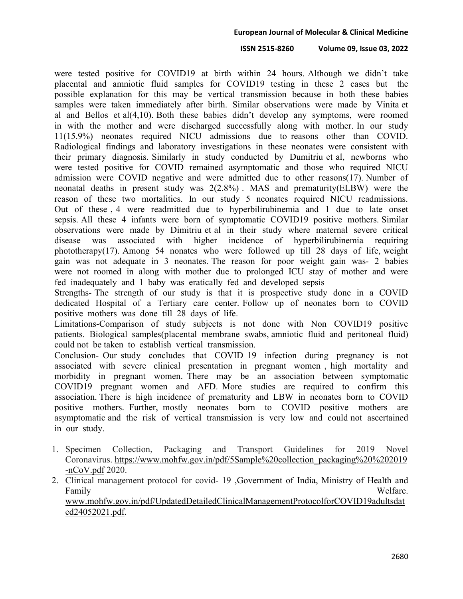## **ISSN 2515-8260 Volume 09, Issue 03, 2022**

were tested positive for COVID19 at birth within 24 hours. Although we didn't take placental and amniotic fluid samples for COVID19 testing in these 2 cases but the possible explanation for this may be vertical transmission because in both these babies samples were taken immediately after birth. Similar observations were made by Vinita et al and Bellos et al(4,10). Both these babies didn't develop any symptoms, were roomed in with the mother and were discharged successfully along with mother. In our study 11(15.9%) neonates required NICU admissions due to reasons other than COVID. Radiological findings and laboratory investigations in these neonates were consistent with their primary diagnosis. Similarly in study conducted by Dumitriu et al, newborns who were tested positive for COVID remained asymptomatic and those who required NICU admission were COVID negative and were admitted due to other reasons(17). Number of neonatal deaths in present study was 2(2.8%) . MAS and prematurity(ELBW) were the reason of these two mortalities. In our study 5 neonates required NICU readmissions. Out of these , 4 were readmitted due to hyperbilirubinemia and 1 due to late onset sepsis. All these 4 infants were born of symptomatic COVID19 positive mothers. Similar observations were made by Dimitriu et al in their study where maternal severe critical disease was associated with higher incidence of hyperbilirubinemia requiring phototherapy(17). Among 54 nonates who were followed up till 28 days of life, weight gain was not adequate in 3 neonates. The reason for poor weight gain was- 2 babies were not roomed in along with mother due to prolonged ICU stay of mother and were fed inadequately and 1 baby was eratically fed and developed sepsis

Strengths- The strength of our study is that it is prospective study done in a COVID dedicated Hospital of a Tertiary care center. Follow up of neonates born to COVID positive mothers was done till 28 days of life.

Limitations-Comparison of study subjects is not done with Non COVID19 positive patients. Biological samples(placental membrane swabs, amniotic fluid and peritoneal fluid) could not be taken to establish vertical transmission.

Conclusion- Our study concludes that COVID 19 infection during pregnancy is not associated with severe clinical presentation in pregnant women , high mortality and morbidity in pregnant women. There may be an association between symptomatic COVID19 pregnant women and AFD. More studies are required to confirm this association. There is high incidence of prematurity and LBW in neonates born to COVID positive mothers. Further, mostly neonates born to COVID positive mothers are asymptomatic and the risk of vertical transmission is very low and could not ascertained in our study.

- 1. Specimen Collection, Packaging and Transport Guidelines for 2019 Novel Coronavirus. [https://www.mohfw.gov.in/pdf/5Sample%20collection\\_packaging%20%202019](https://www.mohfw.gov.in/pdf/5Sample%20collection_packaging%20%202019-nCoV.pdf) [-nCoV.pdf](https://www.mohfw.gov.in/pdf/5Sample%20collection_packaging%20%202019-nCoV.pdf) 2020.
- 2. Clinical management protocol for covid- 19 ,Government of India, Ministry of Health and Family Welfare. [www.mohfw.gov.in/pdf/UpdatedDetailedClinicalManagementProtocolforCOVID19adultsdat](http://www.mohfw.gov.in/pdf/UpdatedDetailedClinicalManagementProtocolforCOVID19adultsdated24052021.pdf) [ed24052021.pdf.](http://www.mohfw.gov.in/pdf/UpdatedDetailedClinicalManagementProtocolforCOVID19adultsdated24052021.pdf)